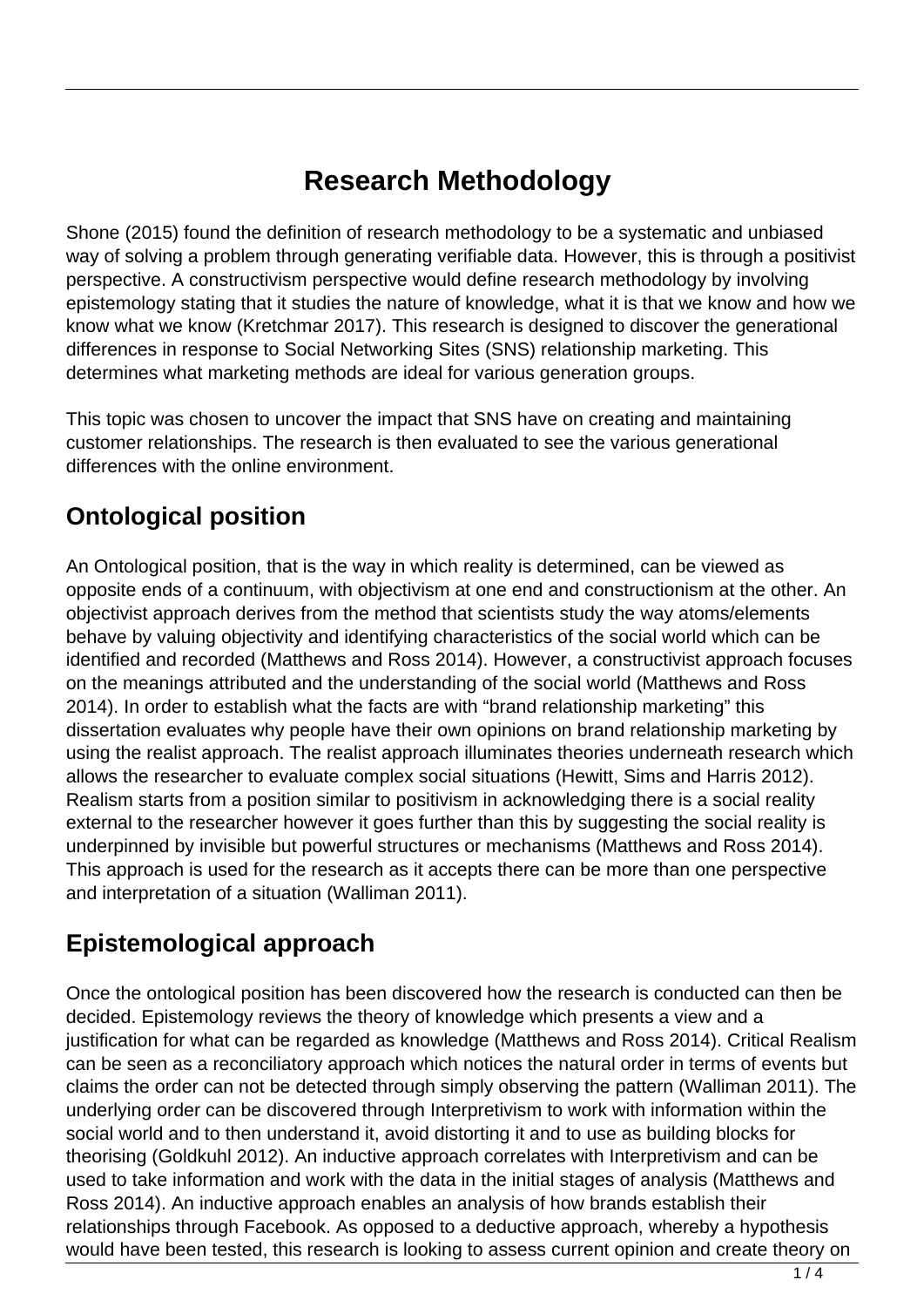# **Research Methodology**

Shone (2015) found the definition of research methodology to be a systematic and unbiased way of solving a problem through generating verifiable data. However, this is through a positivist perspective. A constructivism perspective would define research methodology by involving epistemology stating that it studies the nature of knowledge, what it is that we know and how we know what we know (Kretchmar 2017). This research is designed to discover the generational differences in response to Social Networking Sites (SNS) relationship marketing. This determines what marketing methods are ideal for various generation groups.

This topic was chosen to uncover the impact that SNS have on creating and maintaining customer relationships. The research is then evaluated to see the various generational differences with the online environment.

#### **Ontological position**

An Ontological position, that is the way in which reality is determined, can be viewed as opposite ends of a continuum, with objectivism at one end and constructionism at the other. An objectivist approach derives from the method that scientists study the way atoms/elements behave by valuing objectivity and identifying characteristics of the social world which can be identified and recorded (Matthews and Ross 2014). However, a constructivist approach focuses on the meanings attributed and the understanding of the social world (Matthews and Ross 2014). In order to establish what the facts are with "brand relationship marketing" this dissertation evaluates why people have their own opinions on brand relationship marketing by using the realist approach. The realist approach illuminates theories underneath research which allows the researcher to evaluate complex social situations (Hewitt, Sims and Harris 2012). Realism starts from a position similar to positivism in acknowledging there is a social reality external to the researcher however it goes further than this by suggesting the social reality is underpinned by invisible but powerful structures or mechanisms (Matthews and Ross 2014). This approach is used for the research as it accepts there can be more than one perspective and interpretation of a situation (Walliman 2011).

## **Epistemological approach**

Once the ontological position has been discovered how the research is conducted can then be decided. Epistemology reviews the theory of knowledge which presents a view and a justification for what can be regarded as knowledge (Matthews and Ross 2014). Critical Realism can be seen as a reconciliatory approach which notices the natural order in terms of events but claims the order can not be detected through simply observing the pattern (Walliman 2011). The underlying order can be discovered through Interpretivism to work with information within the social world and to then understand it, avoid distorting it and to use as building blocks for theorising (Goldkuhl 2012). An inductive approach correlates with Interpretivism and can be used to take information and work with the data in the initial stages of analysis (Matthews and Ross 2014). An inductive approach enables an analysis of how brands establish their relationships through Facebook. As opposed to a deductive approach, whereby a hypothesis would have been tested, this research is looking to assess current opinion and create theory on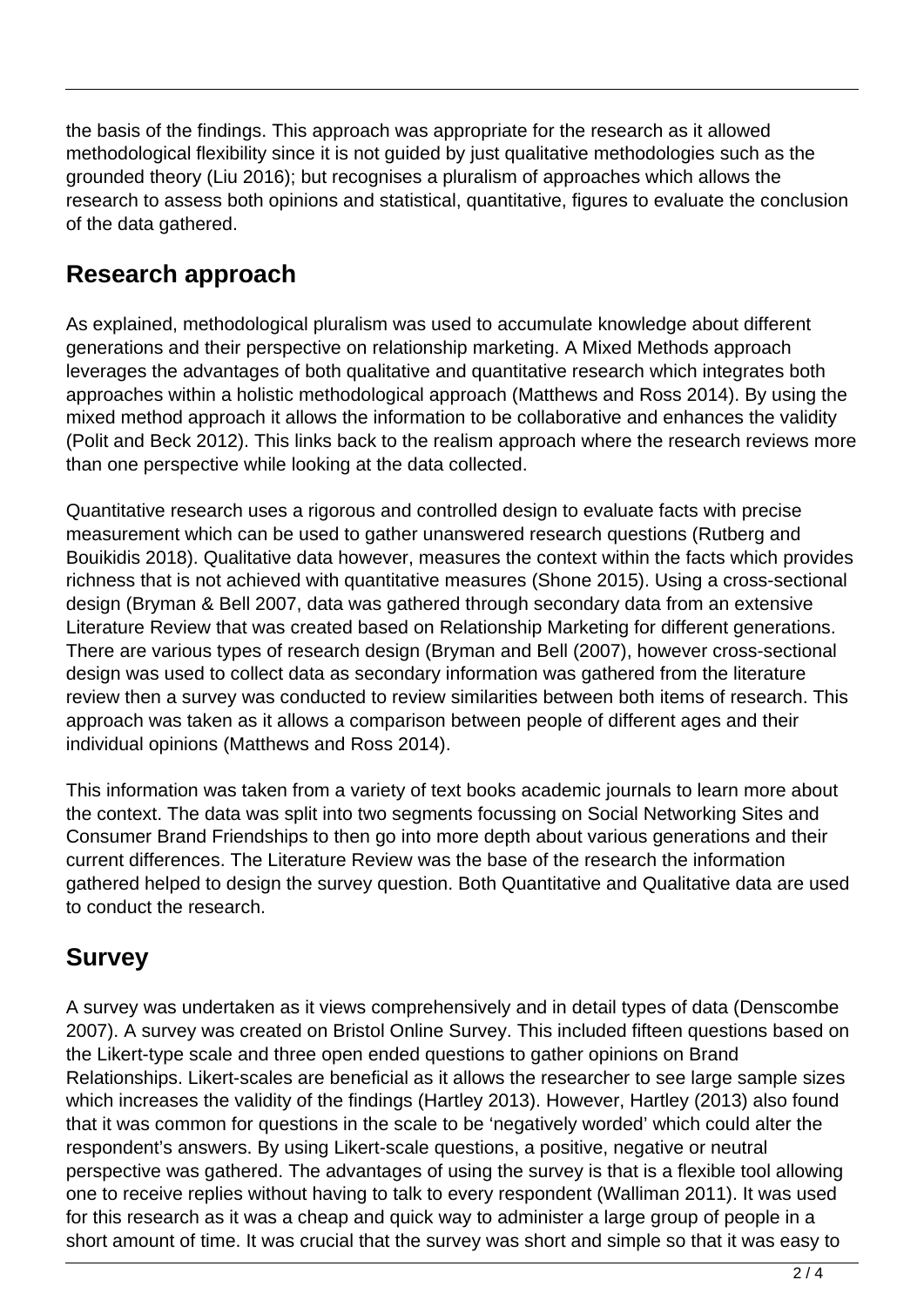the basis of the findings. This approach was appropriate for the research as it allowed methodological flexibility since it is not guided by just qualitative methodologies such as the grounded theory (Liu 2016); but recognises a pluralism of approaches which allows the research to assess both opinions and statistical, quantitative, figures to evaluate the conclusion of the data gathered.

#### **Research approach**

As explained, methodological pluralism was used to accumulate knowledge about different generations and their perspective on relationship marketing. A Mixed Methods approach leverages the advantages of both qualitative and quantitative research which integrates both approaches within a holistic methodological approach (Matthews and Ross 2014). By using the mixed method approach it allows the information to be collaborative and enhances the validity (Polit and Beck 2012). This links back to the realism approach where the research reviews more than one perspective while looking at the data collected.

Quantitative research uses a rigorous and controlled design to evaluate facts with precise measurement which can be used to gather unanswered research questions (Rutberg and Bouikidis 2018). Qualitative data however, measures the context within the facts which provides richness that is not achieved with quantitative measures (Shone 2015). Using a cross-sectional design (Bryman & Bell 2007, data was gathered through secondary data from an extensive Literature Review that was created based on Relationship Marketing for different generations. There are various types of research design (Bryman and Bell (2007), however cross-sectional design was used to collect data as secondary information was gathered from the literature review then a survey was conducted to review similarities between both items of research. This approach was taken as it allows a comparison between people of different ages and their individual opinions (Matthews and Ross 2014).

This information was taken from a variety of text books academic journals to learn more about the context. The data was split into two segments focussing on Social Networking Sites and Consumer Brand Friendships to then go into more depth about various generations and their current differences. The Literature Review was the base of the research the information gathered helped to design the survey question. Both Quantitative and Qualitative data are used to conduct the research.

## **Survey**

A survey was undertaken as it views comprehensively and in detail types of data (Denscombe 2007). A survey was created on Bristol Online Survey. This included fifteen questions based on the Likert-type scale and three open ended questions to gather opinions on Brand Relationships. Likert-scales are beneficial as it allows the researcher to see large sample sizes which increases the validity of the findings (Hartley 2013). However, Hartley (2013) also found that it was common for questions in the scale to be 'negatively worded' which could alter the respondent's answers. By using Likert-scale questions, a positive, negative or neutral perspective was gathered. The advantages of using the survey is that is a flexible tool allowing one to receive replies without having to talk to every respondent (Walliman 2011). It was used for this research as it was a cheap and quick way to administer a large group of people in a short amount of time. It was crucial that the survey was short and simple so that it was easy to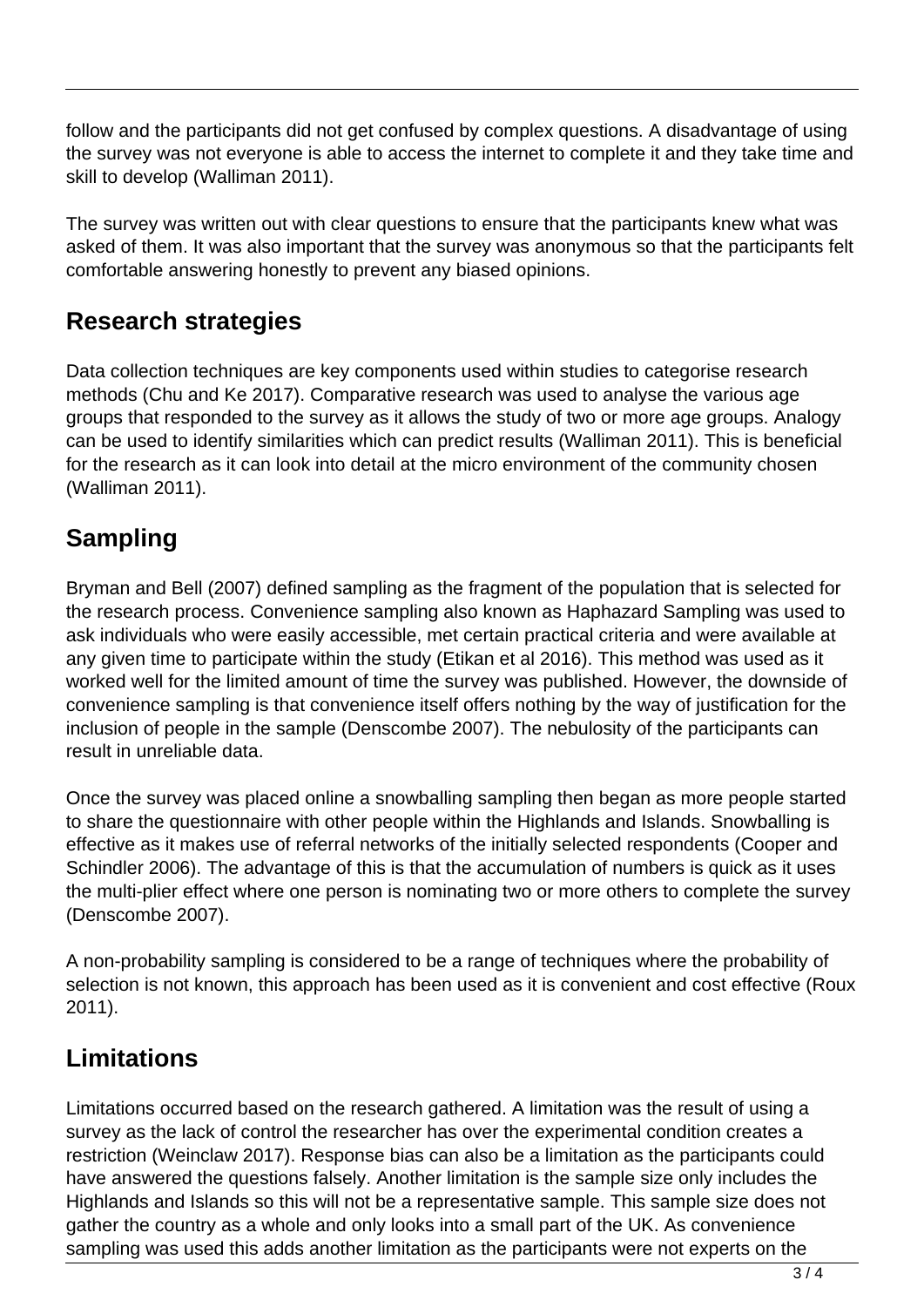follow and the participants did not get confused by complex questions. A disadvantage of using the survey was not everyone is able to access the internet to complete it and they take time and skill to develop (Walliman 2011).

The survey was written out with clear questions to ensure that the participants knew what was asked of them. It was also important that the survey was anonymous so that the participants felt comfortable answering honestly to prevent any biased opinions.

## **Research strategies**

Data collection techniques are key components used within studies to categorise research methods (Chu and Ke 2017). Comparative research was used to analyse the various age groups that responded to the survey as it allows the study of two or more age groups. Analogy can be used to identify similarities which can predict results (Walliman 2011). This is beneficial for the research as it can look into detail at the micro environment of the community chosen (Walliman 2011).

# **Sampling**

Bryman and Bell (2007) defined sampling as the fragment of the population that is selected for the research process. Convenience sampling also known as Haphazard Sampling was used to ask individuals who were easily accessible, met certain practical criteria and were available at any given time to participate within the study (Etikan et al 2016). This method was used as it worked well for the limited amount of time the survey was published. However, the downside of convenience sampling is that convenience itself offers nothing by the way of justification for the inclusion of people in the sample (Denscombe 2007). The nebulosity of the participants can result in unreliable data.

Once the survey was placed online a snowballing sampling then began as more people started to share the questionnaire with other people within the Highlands and Islands. Snowballing is effective as it makes use of referral networks of the initially selected respondents (Cooper and Schindler 2006). The advantage of this is that the accumulation of numbers is quick as it uses the multi-plier effect where one person is nominating two or more others to complete the survey (Denscombe 2007).

A non-probability sampling is considered to be a range of techniques where the probability of selection is not known, this approach has been used as it is convenient and cost effective (Roux 2011).

## **Limitations**

Limitations occurred based on the research gathered. A limitation was the result of using a survey as the lack of control the researcher has over the experimental condition creates a restriction (Weinclaw 2017). Response bias can also be a limitation as the participants could have answered the questions falsely. Another limitation is the sample size only includes the Highlands and Islands so this will not be a representative sample. This sample size does not gather the country as a whole and only looks into a small part of the UK. As convenience sampling was used this adds another limitation as the participants were not experts on the